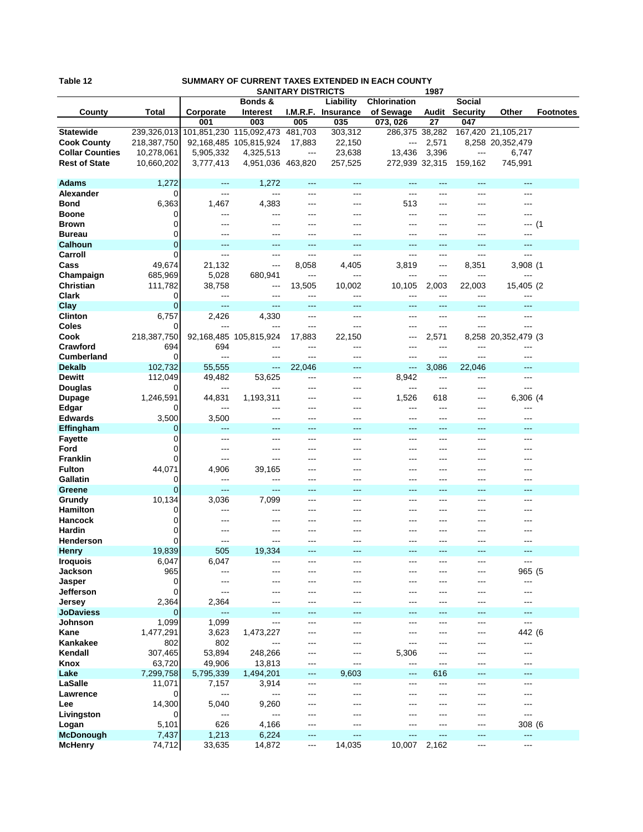| Table 12<br>SUMMARY OF CURRENT TAXES EXTENDED IN EACH COUNTY<br><b>SANITARY DISTRICTS</b> |                |                                 |                         |              |                    |                |            |                 |                     |                  |
|-------------------------------------------------------------------------------------------|----------------|---------------------------------|-------------------------|--------------|--------------------|----------------|------------|-----------------|---------------------|------------------|
|                                                                                           |                |                                 | Bonds &                 |              | Liability          | Chlorination   | 1987       | Social          |                     |                  |
| County                                                                                    | Total          | Corporate                       | <b>Interest</b>         |              | I.M.R.F. Insurance | of Sewage      | Audit      | <b>Security</b> | Other               | <b>Footnotes</b> |
|                                                                                           |                | 001                             | 003                     | 005          | 035                | 073, 026       | 27         | 047             |                     |                  |
| <b>Statewide</b>                                                                          | 239,326,013    |                                 | 101,851,230 115,092,473 | 481,703      | 303,312            | 286,375 38,282 |            |                 | 167,420 21,105,217  |                  |
| <b>Cook County</b>                                                                        | 218,387,750    |                                 | 92,168,485 105,815,924  | 17,883       | 22,150             | ---            | 2,571      |                 | 8,258 20,352,479    |                  |
| <b>Collar Counties</b>                                                                    | 10,278,061     | 5,905,332                       | 4,325,513               | $---$        | 23,638             | 13,436         | 3,396      | ---             | 6,747               |                  |
| <b>Rest of State</b>                                                                      | 10,660,202     | 3,777,413                       | 4,951,036 463,820       |              | 257,525            | 272,939 32,315 |            | 159,162         | 745,991             |                  |
|                                                                                           |                |                                 |                         |              |                    |                |            |                 |                     |                  |
| <b>Adams</b><br>Alexander                                                                 | 1,272<br>0     | $---$                           | 1,272<br>$---$          | $---$        | $---$              | ---            | ---<br>--- | ---<br>---      | ---<br>---          |                  |
| <b>Bond</b>                                                                               | 6,363          | $\qquad \qquad \cdots$<br>1,467 | 4,383                   | ---<br>---   | ---<br>$---$       | ---<br>513     | ---        | ---             | ---                 |                  |
| <b>Boone</b>                                                                              | 0              | ---                             | ---                     |              |                    | ---            | ---        |                 | ---                 |                  |
| <b>Brown</b>                                                                              | 0              | ---                             | ---                     | ---          | ---                | ---            | ---        |                 | --- (1              |                  |
| <b>Bureau</b>                                                                             | 0              | ---                             | ---                     | ---          | ---                |                | ---        |                 | ---                 |                  |
| <b>Calhoun</b>                                                                            | $\overline{0}$ | ---                             | ---                     | ---          | ---                |                | ---        |                 |                     |                  |
| Carroll                                                                                   | 0              | $---$                           | $---$                   | $---$        | $---$              | ---            | ---        | ---             | ---                 |                  |
| Cass                                                                                      | 49,674         | 21,132                          | ---                     | 8,058        | 4,405              | 3,819          | ---        | 8,351           | 3,908 (1            |                  |
| Champaign                                                                                 | 685,969        | 5,028                           | 680,941                 | $---$        | ---                | ---            | ---        | ---             |                     |                  |
| Christian                                                                                 | 111,782        | 38,758                          | $---$                   | 13,505       | 10,002             | 10,105         | 2,003      | 22,003          | 15,405 (2           |                  |
| <b>Clark</b>                                                                              | 0<br>0         | ---<br>---                      | $---$<br>---            | ---          | ---<br>$---$       | ---            | ---<br>--- | ---             | ---                 |                  |
| Clay<br><b>Clinton</b>                                                                    | 6,757          | 2,426                           | 4,330                   | ---<br>$---$ | $---$              | ---<br>---     | ---        | ---             | ---<br>$---$        |                  |
| Coles                                                                                     | 0              |                                 | ---                     | ---          | $---$              | ---            | ---        | ---             | ---                 |                  |
| Cook                                                                                      | 218,387,750    |                                 | 92,168,485 105,815,924  | 17,883       | 22,150             | ---            | 2,571      |                 | 8,258 20,352,479 (3 |                  |
| Crawford                                                                                  | 694            | 694                             | ---                     | ---          | $---$              | ---            | ---        | ---             | ---                 |                  |
| <b>Cumberland</b>                                                                         | 0              | $---$                           | ---                     | ---          | $---$              | ---            | ---        | ---             | ---                 |                  |
| <b>Dekalb</b>                                                                             | 102,732        | 55,555                          | ---                     | 22,046       | $---$              | ---            | 3,086      | 22,046          | ---                 |                  |
| <b>Dewitt</b>                                                                             | 112,049        | 49,482                          | 53,625                  | ---          | $---$              | 8,942          | ---        | ---             | ---                 |                  |
| Douglas                                                                                   | 0              | ---                             | ---                     | ---          | ---                | ---            | ---        | ---             | ---                 |                  |
| <b>Dupage</b><br>Edgar                                                                    | 1,246,591<br>0 | 44,831<br>---                   | 1,193,311<br>---        | ---<br>---   | ---                | 1,526<br>---   | 618<br>--- | ---<br>---      | 6,306 (4<br>---     |                  |
| <b>Edwards</b>                                                                            | 3,500          | 3,500                           | ---                     | ---          | $---$              | ---            | ---        | ---             | ---                 |                  |
| Effingham                                                                                 | 0              | $---$                           | $\overline{a}$          | ---          | $---$              | ---            | ---        | ---             | ---                 |                  |
| <b>Fayette</b>                                                                            | 0              | ---                             | ---                     | ---          | $---$              | ---            | ---        |                 | ---                 |                  |
| Ford                                                                                      | 0              | ---                             | ---                     | ---          | ---                | ---            | ---        |                 |                     |                  |
| <b>Franklin</b>                                                                           | 0              | ---                             | ---                     | ---          | $--$               | ---            | ---        | ---             | ---                 |                  |
| <b>Fulton</b>                                                                             | 44,071         | 4,906                           | 39,165                  | ---          |                    |                | ---        |                 |                     |                  |
| Gallatin                                                                                  | 0              | ---                             | ---                     | $---$        | $---$              | ---            | ---        | ---             | ---                 |                  |
| Greene<br>Grundy                                                                          | 0<br>10,134    | $--$<br>3,036                   | ---<br>7,099            | ---<br>---   | ---<br>---         | ---<br>---     | ---<br>--- | ---             | ---<br>---          |                  |
| <b>Hamilton</b>                                                                           | 0              | $---$                           | ---                     | ---          | $---$              | ---            | ---        | ---             |                     |                  |
| <b>Hancock</b>                                                                            | 0              |                                 | ---                     |              |                    |                | ---        |                 |                     |                  |
| Hardin                                                                                    | 0              |                                 | ---                     |              |                    |                |            |                 |                     |                  |
| Henderson                                                                                 | 0              | ---                             | ---                     | ---          |                    | ---            |            |                 | ---                 |                  |
| <b>Henry</b>                                                                              | 19,839         | 505                             | 19,334                  |              |                    |                |            |                 | ---                 |                  |
| <b>Iroquois</b>                                                                           | 6,047          | 6,047                           | ---                     | ---          | ---                | ---            | ---        | ---             | ---                 |                  |
| Jackson                                                                                   | 965            | ---                             | ---                     | ---          | ---                | ---            | ---        | ---             | 965 (5              |                  |
| <b>Jasper</b>                                                                             | 0              | ---                             | ---                     |              |                    | ---            | ---        |                 | ---                 |                  |
| <b>Jefferson</b>                                                                          | 0              | ---                             | ---                     | ---          | $---$              | ---            | ---        | ---             | $---$               |                  |
| Jersey<br><b>JoDaviess</b>                                                                | 2,364<br>0     | 2,364<br>---                    | ---<br>---              | ---<br>---   | ---<br>$---$       | ---<br>---     | ---<br>--- | ---             | ---<br>---          |                  |
| <b>Johnson</b>                                                                            | 1,099          | 1,099                           | ---                     | ---          | $---$              | ---            | ---        | ---             | $---$               |                  |
| Kane                                                                                      | 1,477,291      | 3,623                           | 1,473,227               | ---          | ---                | ---            | ---        | ---             | 442 (6              |                  |
| Kankakee                                                                                  | 802            | 802                             | ---                     | ---          | ---                | ---            | ---        |                 | ---                 |                  |
| Kendall                                                                                   | 307,465        | 53,894                          | 248,266                 | ---          | ---                | 5,306          | ---        | ---             | ---                 |                  |
| Knox                                                                                      | 63,720         | 49,906                          | 13,813                  | ---          | ---                | ---            | ---        |                 | ---                 |                  |
| Lake                                                                                      | 7,299,758      | 5,795,339                       | 1,494,201               | $---$        | 9,603              | ---            | 616        | ---             | ---                 |                  |
| LaSalle                                                                                   | 11,071         | 7,157                           | 3,914                   | ---          | ---                | ---            | ---        |                 | ---                 |                  |
| Lawrence                                                                                  | 0              | ---                             | ---                     | ---          | ---                |                | ---        |                 | ---                 |                  |
| Lee                                                                                       | 14,300         | 5,040                           | 9,260<br>---            |              | ---                |                | ---        |                 | ---<br>---          |                  |
| Livingston                                                                                | 0<br>5,101     | $---$<br>626                    | 4,166                   | ---<br>---   | ---<br>---         | ---            | ---<br>--- | ---<br>---      | 308 (6              |                  |
| Logan<br><b>McDonough</b>                                                                 | 7,437          | 1,213                           | 6,224                   | ---          | $---$              | ---            | ---        | ---             | $---$               |                  |
| <b>McHenry</b>                                                                            | 74,712         | 33,635                          | 14,872                  | ---          | 14,035             | 10,007         | 2,162      | ---             | ---                 |                  |
|                                                                                           |                |                                 |                         |              |                    |                |            |                 |                     |                  |